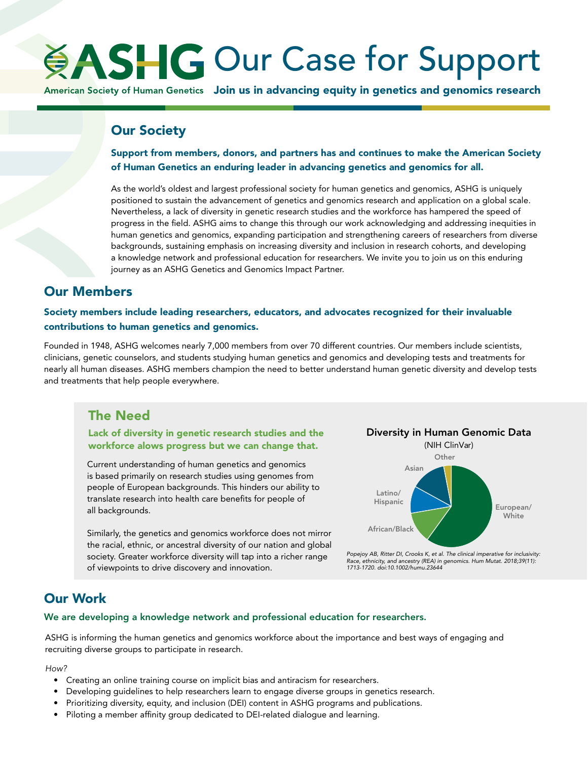# **ASHG Our Case for Support**

American Society of Human Genetics Join us in advancing equity in genetics and genomics research

## Our Society

Support from members, donors, and partners has and continues to make the American Society of Human Genetics an enduring leader in advancing genetics and genomics for all.

As the world's oldest and largest professional society for human genetics and genomics, ASHG is uniquely positioned to sustain the advancement of genetics and genomics research and application on a global scale. Nevertheless, a lack of diversity in genetic research studies and the workforce has hampered the speed of progress in the field. ASHG aims to change this through our work acknowledging and addressing inequities in human genetics and genomics, expanding participation and strengthening careers of researchers from diverse backgrounds, sustaining emphasis on increasing diversity and inclusion in research cohorts, and developing a knowledge network and professional education for researchers. We invite you to join us on this enduring journey as an ASHG Genetics and Genomics Impact Partner.

# Our Members

Society members include leading researchers, educators, and advocates recognized for their invaluable contributions to human genetics and genomics.

Founded in 1948, ASHG welcomes nearly 7,000 members from over 70 different countries. Our members include scientists, clinicians, genetic counselors, and students studying human genetics and genomics and developing tests and treatments for nearly all human diseases. ASHG members champion the need to better understand human genetic diversity and develop tests and treatments that help people everywhere.

## The Need

## Lack of diversity in genetic research studies and the workforce alows progress but we can change that.

Current understanding of human genetics and genomics is based primarily on research studies using genomes from people of European backgrounds. This hinders our ability to translate research into health care benefits for people of all backgrounds.

Similarly, the genetics and genomics workforce does not mirror the racial, ethnic, or ancestral diversity of our nation and global society. Greater workforce diversity will tap into a richer range of viewpoints to drive discovery and innovation.





*Popejoy AB, Ritter DI, Crooks K, et al. The clinical imperative for inclusivity: Race, ethnicity, and ancestry (REA) in genomics. Hum Mutat. 2018;39(11): 1713-1720. doi:10.1002/humu.23644*

# Our Work

## We are developing a knowledge network and professional education for researchers.

ASHG is informing the human genetics and genomics workforce about the importance and best ways of engaging and recruiting diverse groups to participate in research.

*How?* 

- Creating an online training course on implicit bias and antiracism for researchers.
- Developing guidelines to help researchers learn to engage diverse groups in genetics research.
- Prioritizing diversity, equity, and inclusion (DEI) content in ASHG programs and publications.
- Piloting a member affinity group dedicated to DEI-related dialogue and learning.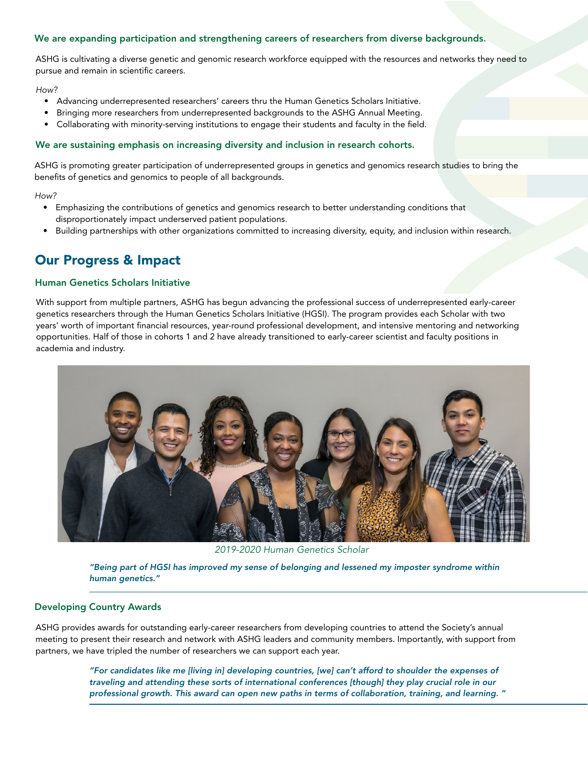## We are expanding participation and strengthening careers of researchers from diverse backgrounds.

ASHG is cultivating a diverse genetic and genomic research workforce equipped with the resources and networks they need to pursue and remain in scientific careers.

#### *How?*

- Advancing underrepresented researchers' careers thru the Human Genetics Scholars Initiative.
- Bringing more researchers from underrepresented backgrounds to the ASHG Annual Meeting.
- Collaborating with minority-serving institutions to engage their students and faculty in the field.

### We are sustaining emphasis on increasing diversity and inclusion in research cohorts.

ASHG is promoting greater participation of underrepresented groups in genetics and genomics research studies to bring the benefits of genetics and genomics to people of all backgrounds.

#### *How?*

- Emphasizing the contributions of genetics and genomics research to better understanding conditions that disproportionately impact underserved patient populations.
- Building partnerships with other organizations committed to increasing diversity, equity, and inclusion within research.

## Our Progress & Impact

### Human Genetics Scholars Initiative

With support from multiple partners, ASHG has begun advancing the professional success of underrepresented early-career genetics researchers through the Human Genetics Scholars Initiative (HGSI). The program provides each Scholar with two years' worth of important financial resources, year-round professional development, and intensive mentoring and networking opportunities. Half of those in cohorts 1 and 2 have already transitioned to early-career scientist and faculty positions in academia and industry.



*2019-2020 Human Genetics Scholar*

*"Being part of HGSI has improved my sense of belonging and lessened my imposter syndrome within human genetics."*

## Developing Country Awards

ASHG provides awards for outstanding early-career researchers from developing countries to attend the Society's annual meeting to present their research and network with ASHG leaders and community members. Importantly, with support from partners, we have tripled the number of researchers we can support each year.

> *"For candidates like me [living in] developing countries, [we] can't afford to shoulder the expenses of traveling and attending these sorts of international conferences [though] they play crucial role in our professional growth. This award can open new paths in terms of collaboration, training, and learning. "*